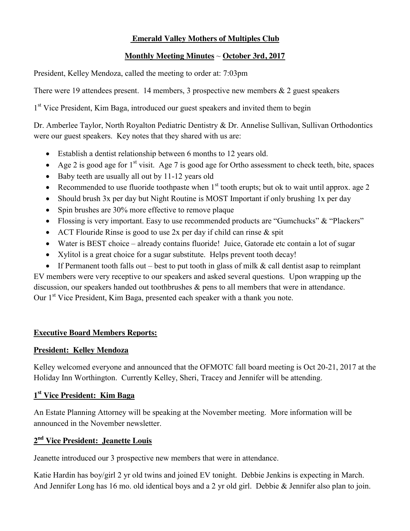# **Emerald Valley Mothers of Multiples Club**

# **Monthly Meeting Minutes** ~ **October 3rd, 2017**

President, Kelley Mendoza, called the meeting to order at: 7:03pm

There were 19 attendees present. 14 members, 3 prospective new members & 2 guest speakers

1<sup>st</sup> Vice President, Kim Baga, introduced our guest speakers and invited them to begin

Dr. Amberlee Taylor, North Royalton Pediatric Dentistry & Dr. Annelise Sullivan, Sullivan Orthodontics were our guest speakers. Key notes that they shared with us are:

- Establish a dentist relationship between 6 months to 12 years old.
- Age 2 is good age for  $1^{st}$  visit. Age 7 is good age for Ortho assessment to check teeth, bite, spaces
- $\bullet$  Baby teeth are usually all out by 11-12 years old
- Recommended to use fluoride toothpaste when  $1<sup>st</sup>$  tooth erupts; but ok to wait until approx. age 2
- Should brush 3x per day but Night Routine is MOST Important if only brushing 1x per day
- $\bullet$  Spin brushes are 30% more effective to remove plaque
- Flossing is very important. Easy to use recommended products are "Gumchucks" & "Plackers"
- ACT Flouride Rinse is good to use 2x per day if child can rinse  $\&$  spit
- Water is BEST choice already contains fluoride! Juice, Gatorade etc contain a lot of sugar
- Xylitol is a great choice for a sugar substitute. Helps prevent tooth decay!
- If Permanent tooth falls out best to put tooth in glass of milk  $\&$  call dentist asap to reimplant

EV members were very receptive to our speakers and asked several questions. Upon wrapping up the discussion, our speakers handed out toothbrushes & pens to all members that were in attendance. Our 1<sup>st</sup> Vice President, Kim Baga, presented each speaker with a thank you note.

# **Executive Board Members Reports:**

#### **President: Kelley Mendoza**

Kelley welcomed everyone and announced that the OFMOTC fall board meeting is Oct 20-21, 2017 at the Holiday Inn Worthington. Currently Kelley, Sheri, Tracey and Jennifer will be attending.

# **1st Vice President: Kim Baga**

An Estate Planning Attorney will be speaking at the November meeting. More information will be announced in the November newsletter.

# **2nd Vice President: Jeanette Louis**

Jeanette introduced our 3 prospective new members that were in attendance.

Katie Hardin has boy/girl 2 yr old twins and joined EV tonight. Debbie Jenkins is expecting in March. And Jennifer Long has 16 mo. old identical boys and a 2 yr old girl. Debbie & Jennifer also plan to join.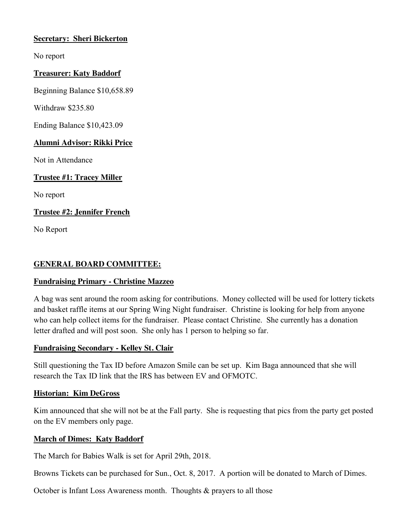# **Secretary: Sheri Bickerton**

No report

#### **Treasurer: Katy Baddorf**

Beginning Balance \$10,658.89

Withdraw \$235.80

Ending Balance \$10,423.09

#### **Alumni Advisor: Rikki Price**

Not in Attendance

# **Trustee #1: Tracey Miller**

No report

# **Trustee #2: Jennifer French**

No Report

### **GENERAL BOARD COMMITTEE:**

# **Fundraising Primary - Christine Mazzeo**

A bag was sent around the room asking for contributions. Money collected will be used for lottery tickets and basket raffle items at our Spring Wing Night fundraiser. Christine is looking for help from anyone who can help collect items for the fundraiser. Please contact Christine. She currently has a donation letter drafted and will post soon. She only has 1 person to helping so far.

# **Fundraising Secondary - Kelley St. Clair**

Still questioning the Tax ID before Amazon Smile can be set up. Kim Baga announced that she will research the Tax ID link that the IRS has between EV and OFMOTC.

#### **Historian: Kim DeGross**

Kim announced that she will not be at the Fall party. She is requesting that pics from the party get posted on the EV members only page.

# **March of Dimes: Katy Baddorf**

The March for Babies Walk is set for April 29th, 2018.

Browns Tickets can be purchased for Sun., Oct. 8, 2017. A portion will be donated to March of Dimes.

October is Infant Loss Awareness month. Thoughts & prayers to all those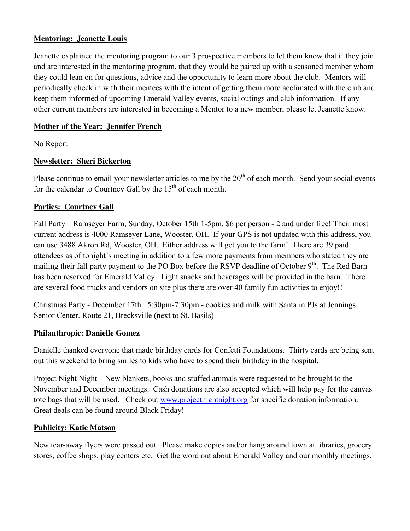# **Mentoring: Jeanette Louis**

Jeanette explained the mentoring program to our 3 prospective members to let them know that if they join and are interested in the mentoring program, that they would be paired up with a seasoned member whom they could lean on for questions, advice and the opportunity to learn more about the club. Mentors will periodically check in with their mentees with the intent of getting them more acclimated with the club and keep them informed of upcoming Emerald Valley events, social outings and club information. If any other current members are interested in becoming a Mentor to a new member, please let Jeanette know.

# **Mother of the Year: Jennifer French**

No Report

# **Newsletter: Sheri Bickerton**

Please continue to email your newsletter articles to me by the  $20<sup>th</sup>$  of each month. Send your social events for the calendar to Courtney Gall by the  $15<sup>th</sup>$  of each month.

# **Parties: Courtney Gall**

Fall Party – Ramseyer Farm, Sunday, October 15th 1-5pm. \$6 per person - 2 and under free! Their most current address is 4000 Ramseyer Lane, Wooster, OH. If your GPS is not updated with this address, you can use 3488 Akron Rd, Wooster, OH. Either address will get you to the farm! There are 39 paid attendees as of tonight's meeting in addition to a few more payments from members who stated they are mailing their fall party payment to the PO Box before the RSVP deadline of October 9<sup>th</sup>. The Red Barn has been reserved for Emerald Valley. Light snacks and beverages will be provided in the barn. There are several food trucks and vendors on site plus there are over 40 family fun activities to enjoy!!

Christmas Party - December 17th 5:30pm-7:30pm - cookies and milk with Santa in PJs at Jennings Senior Center. Route 21, Brecksville (next to St. Basils)

# **Philanthropic: Danielle Gomez**

Danielle thanked everyone that made birthday cards for Confetti Foundations. Thirty cards are being sent out this weekend to bring smiles to kids who have to spend their birthday in the hospital.

Project Night Night – New blankets, books and stuffed animals were requested to be brought to the November and December meetings. Cash donations are also accepted which will help pay for the canvas tote bags that will be used. Check out [www.projectnightnight.org](http://www.projectnightnight.org/) for specific donation information. Great deals can be found around Black Friday!

# **Publicity: Katie Matson**

New tear-away flyers were passed out. Please make copies and/or hang around town at libraries, grocery stores, coffee shops, play centers etc. Get the word out about Emerald Valley and our monthly meetings.